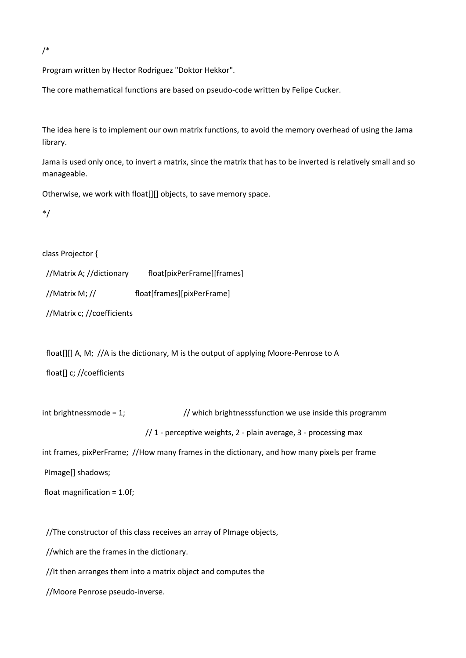/\*

Program written by Hector Rodriguez "Doktor Hekkor".

The core mathematical functions are based on pseudo-code written by Felipe Cucker.

The idea here is to implement our own matrix functions, to avoid the memory overhead of using the Jama library.

Jama is used only once, to invert a matrix, since the matrix that has to be inverted is relatively small and so manageable.

Otherwise, we work with float[][] objects, to save memory space.

\*/

class Projector {

| //Matrix A; //dictionary | float[pixPerFrame][frames] |
|--------------------------|----------------------------|
| //Matrix M; //           | float[frames][pixPerFrame] |

//Matrix c; //coefficients

float[][] A, M; //A is the dictionary, M is the output of applying Moore-Penrose to A

float[] c; //coefficients

int brightnessmode = 1;  $\frac{1}{2}$  which brightnesssfunction we use inside this programm

 $// 1$  - perceptive weights,  $2$  - plain average,  $3$  - processing max

int frames, pixPerFrame; //How many frames in the dictionary, and how many pixels per frame

PImage[] shadows;

float magnification = 1.0f;

//The constructor of this class receives an array of PImage objects,

//which are the frames in the dictionary.

//It then arranges them into a matrix object and computes the

//Moore Penrose pseudo-inverse.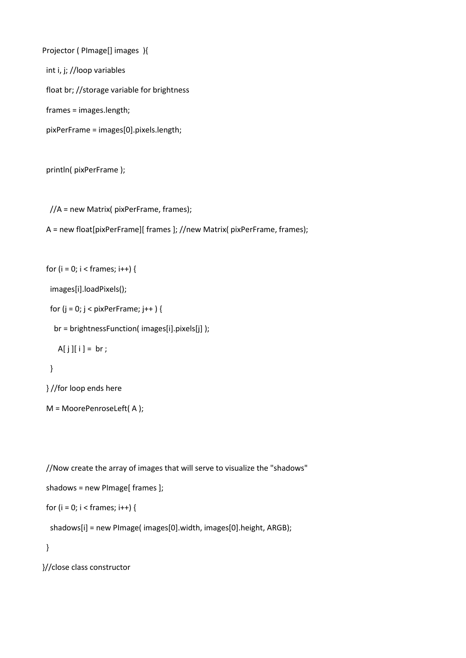Projector ( PImage[] images ){ int i, j; //loop variables float br; //storage variable for brightness frames = images.length; pixPerFrame = images[0].pixels.length;

println( pixPerFrame );

//A = new Matrix( pixPerFrame, frames);

A = new float[pixPerFrame][ frames ]; //new Matrix( pixPerFrame, frames);

```
for (i = 0; i < frames; i++) {
```
images[i].loadPixels();

for  $(j = 0; j < p$ ixPerFrame;  $j++)$  {

br = brightnessFunction( images[i].pixels[j] );

 $A[j][i] = br;$ 

## }

} //for loop ends here

M = MoorePenroseLeft( A );

//Now create the array of images that will serve to visualize the "shadows"

```
 shadows = new PImage[ frames ];
```

```
for (i = 0; i < frames; i++) {
```
shadows[i] = new PImage( images[0].width, images[0].height, ARGB);

}

}//close class constructor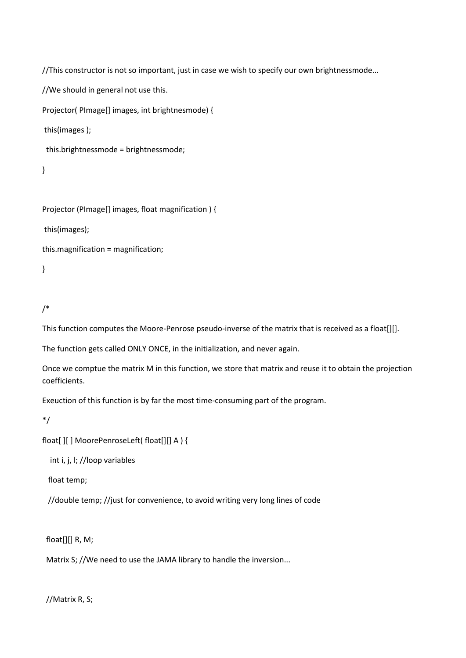//This constructor is not so important, just in case we wish to specify our own brightnessmode...

//We should in general not use this.

Projector( PImage[] images, int brightnesmode) {

this(images );

this.brightnessmode = brightnessmode;

```
}
```
Projector (PImage[] images, float magnification ) {

this(images);

this.magnification = magnification;

}

# /\*

This function computes the Moore-Penrose pseudo-inverse of the matrix that is received as a float[][].

The function gets called ONLY ONCE, in the initialization, and never again.

Once we comptue the matrix M in this function, we store that matrix and reuse it to obtain the projection coefficients.

Exeuction of this function is by far the most time-consuming part of the program.

\*/

float[ ][ ] MoorePenroseLeft( float[][] A ) {

int i, j, l; //loop variables

float temp;

//double temp; //just for convenience, to avoid writing very long lines of code

float[][] R, M;

Matrix S; //We need to use the JAMA library to handle the inversion...

//Matrix R, S;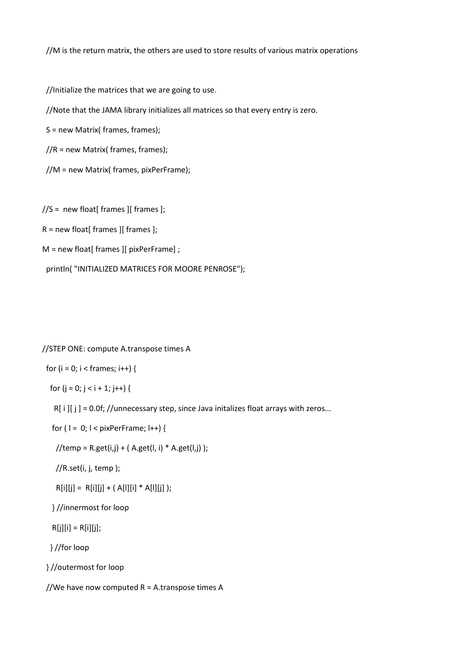//M is the return matrix, the others are used to store results of various matrix operations

//Initialize the matrices that we are going to use.

//Note that the JAMA library initializes all matrices so that every entry is zero.

S = new Matrix( frames, frames);

//R = new Matrix( frames, frames);

//M = new Matrix( frames, pixPerFrame);

 $//S = new float[$  frames  $][$  frames  $];$ 

 $R = new float[$  frames  $]$ [ frames ];

M = new float[ frames ][ pixPerFrame] ;

println( "INITIALIZED MATRICES FOR MOORE PENROSE");

#### //STEP ONE: compute A.transpose times A

for ( $i = 0$ ;  $i <$  frames;  $i++$ ) {

for  $(j = 0; j < i + 1; j++)$  {

 $R[i][j] = 0.0f; //$ unnecessary step, since Java initalizes float arrays with zeros...

for ( $l = 0$ ;  $l <$  pixPerFrame;  $l + +$ ) {

 $//temp = R.get(i,j) + (A.get(l, i) * A.get(l, j));$ 

//R.set(i, j, temp );

 $R[i][j] = R[i][j] + (A[i][i] * A[i][j])$ ;

} //innermost for loop

 $R[j][i] = R[i][j];$ 

} //for loop

} //outermost for loop

//We have now computed  $R = A$ .transpose times A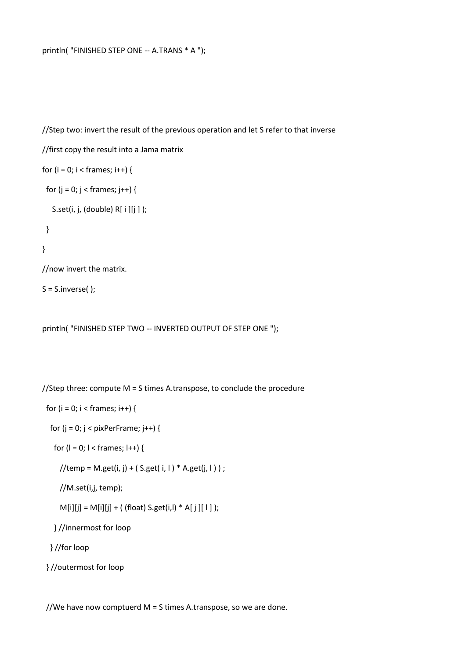```
//Step two: invert the result of the previous operation and let S refer to that inverse
//first copy the result into a Jama matrix 
for (i = 0; i < frames; i++) {
 for (j = 0; j < frames; j++) {
   S.set(i, j, (double) R[ i ][j ] ); 
 }
}
//now invert the matrix. 
S = S.inverse();
```
println( "FINISHED STEP TWO -- INVERTED OUTPUT OF STEP ONE ");

//Step three: compute M = S times A.transpose, to conclude the procedure

```
for (i = 0; i < frames; i++) {
```
for  $(j = 0; j <$  pixPerFrame;  $j++)$  {

```
for (l = 0; l < frames; l++) {
```
 $//$ temp = M.get(i, j) + ( S.get(i, l ) \* A.get(j, l ) ) ;

//M.set(i,j, temp);

```
M[i][j] = M[i][j] + ( (float) S.get(i,l) * A[ j][ l]);
```

```
 } //innermost for loop
```

```
 } //for loop
```

```
 } //outermost for loop
```
//We have now comptuerd  $M = S$  times A.transpose, so we are done.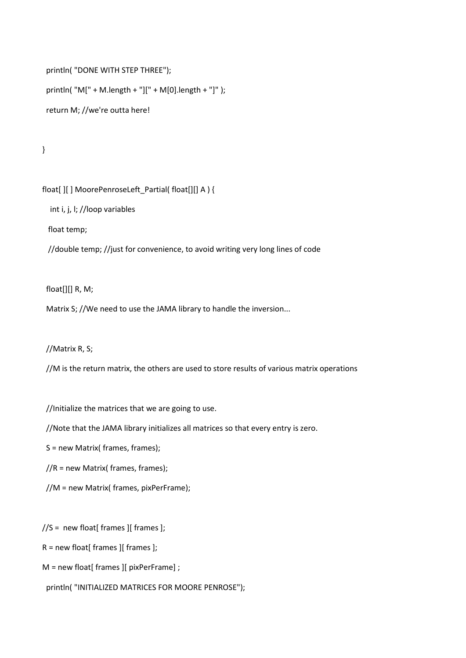```
 println( "DONE WITH STEP THREE"); 
 println( "M[" + M.length + "][" + M[0].length + "]" );
 return M; //we're outta here!
```
}

float[ ][ ] MoorePenroseLeft\_Partial( float[][] A ) {

int i, j, l; //loop variables

float temp;

//double temp; //just for convenience, to avoid writing very long lines of code

float[][] R, M;

Matrix S; //We need to use the JAMA library to handle the inversion...

//Matrix R, S;

//M is the return matrix, the others are used to store results of various matrix operations

//Initialize the matrices that we are going to use.

//Note that the JAMA library initializes all matrices so that every entry is zero.

S = new Matrix( frames, frames);

//R = new Matrix( frames, frames);

//M = new Matrix( frames, pixPerFrame);

 $//S = new float[$  frames  $][$  frames  $];$ 

 $R = new float[$  frames  $]$ [ frames ];

M = new float[ frames ][ pixPerFrame] ;

println( "INITIALIZED MATRICES FOR MOORE PENROSE");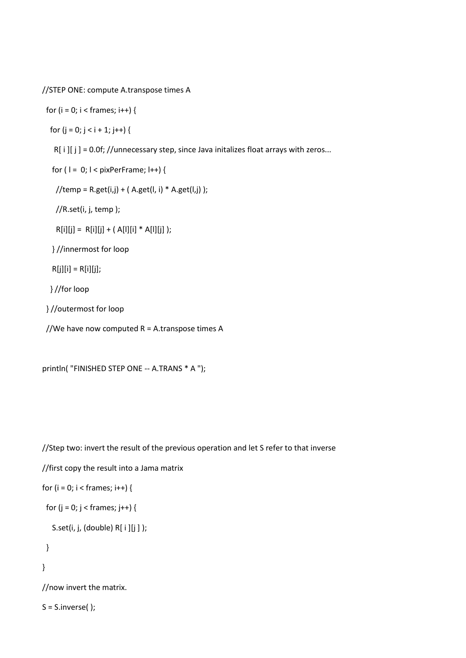//STEP ONE: compute A.transpose times A

```
for (i = 0; i < frames; i++) {
```
for  $(j = 0; j < i + 1; j++)$  {

 $R[i][j] = 0.0f; //$ unnecessary step, since Java initalizes float arrays with zeros...

for ( $l = 0$ ;  $l <$  pixPerFrame;  $l +$ +) {

```
//temp = R.get(i,j) + (A.get(l, i) * A.get(l, j));
```
//R.set(i, j, temp );

 $R[i][j] = R[i][j] + (A[i][i] * A[i][j])$ ;

} //innermost for loop

 $R[j][i] = R[i][j];$ 

} //for loop

} //outermost for loop

//We have now computed R = A.transpose times A

println( "FINISHED STEP ONE -- A.TRANS \* A ");

//Step two: invert the result of the previous operation and let S refer to that inverse

//first copy the result into a Jama matrix

```
for (i = 0; i < frames; i++) {
```
for  $(j = 0; j <$  frames;  $j++)$  {

```
 S.set(i, j, (double) R[ i ][j ] );
```

```
 }
```
}

//now invert the matrix.

 $S = S.inverse()$ ;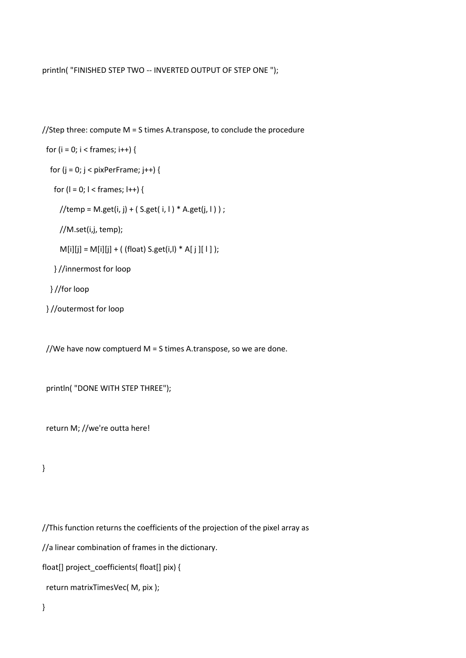### println( "FINISHED STEP TWO -- INVERTED OUTPUT OF STEP ONE ");

//Step three: compute M = S times A.transpose, to conclude the procedure

```
for (i = 0; i < frames; i++) {
```
for  $(j = 0; j < p$ ixPerFrame;  $j++)$  {

for  $(l = 0; l <$  frames;  $l++$ ) {

 $//temp = M.get(i, j) + (S.get(i, l) * A.get(j, l))$ ;

//M.set(i,j, temp);

 $M[i][j] = M[i][j] + ($  (float) S.get(i,l) \* A[ j][1] );

} //innermost for loop

} //for loop

} //outermost for loop

//We have now comptuerd  $M = S$  times A.transpose, so we are done.

```
 println( "DONE WITH STEP THREE");
```
return M; //we're outta here!

}

//This function returns the coefficients of the projection of the pixel array as

//a linear combination of frames in the dictionary.

float[] project\_coefficients( float[] pix) {

return matrixTimesVec( M, pix );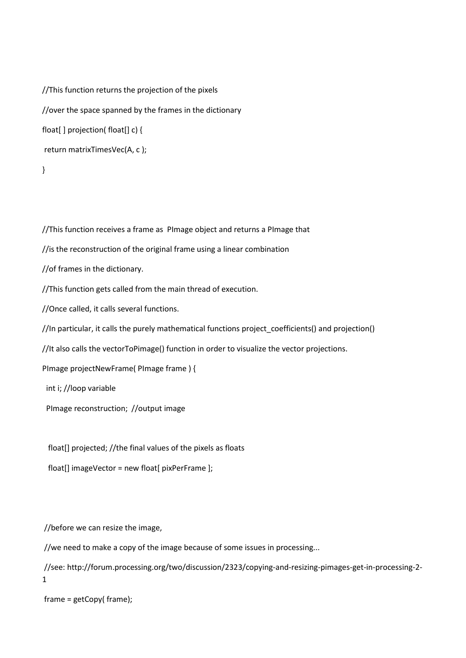```
//This function returns the projection of the pixels 
//over the space spanned by the frames in the dictionary
float[ ] projection( float[] c) { 
return matrixTimesVec(A, c );
```
}

//This function receives a frame as PImage object and returns a PImage that

//is the reconstruction of the original frame using a linear combination

//of frames in the dictionary.

//This function gets called from the main thread of execution.

//Once called, it calls several functions.

//In particular, it calls the purely mathematical functions project\_coefficients() and projection()

//It also calls the vectorToPimage() function in order to visualize the vector projections.

PImage projectNewFrame( PImage frame ) {

int i; //loop variable

PImage reconstruction; //output image

float[] projected; //the final values of the pixels as floats

float[] imageVector = new float[ pixPerFrame ];

//before we can resize the image,

//we need to make a copy of the image because of some issues in processing...

//see: http://forum.processing.org/two/discussion/2323/copying-and-resizing-pimages-get-in-processing-2- 1

frame = getCopy( frame);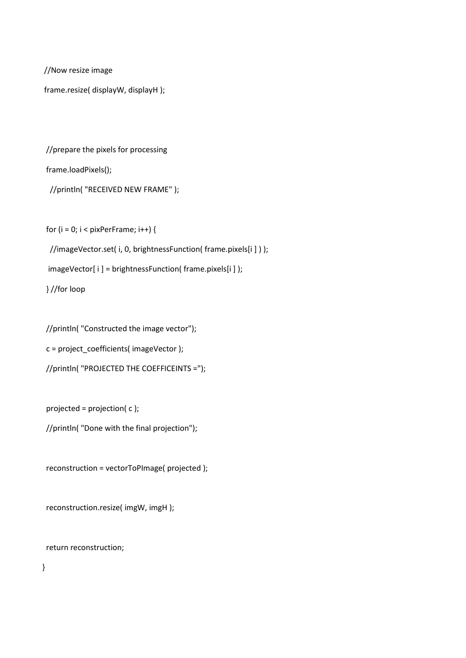//Now resize image

frame.resize( displayW, displayH );

//prepare the pixels for processing

frame.loadPixels();

//println( "RECEIVED NEW FRAME" );

for  $(i = 0; i <$  pixPerFrame;  $i++)$  {

//imageVector.set( i, 0, brightnessFunction( frame.pixels[i ] ) );

imageVector[ i ] = brightnessFunction( frame.pixels[i ] );

} //for loop

 //println( "Constructed the image vector"); c = project\_coefficients( imageVector ); //println( "PROJECTED THE COEFFICEINTS =");

projected = projection( c );

//println( "Done with the final projection");

reconstruction = vectorToPImage( projected );

reconstruction.resize( imgW, imgH );

return reconstruction;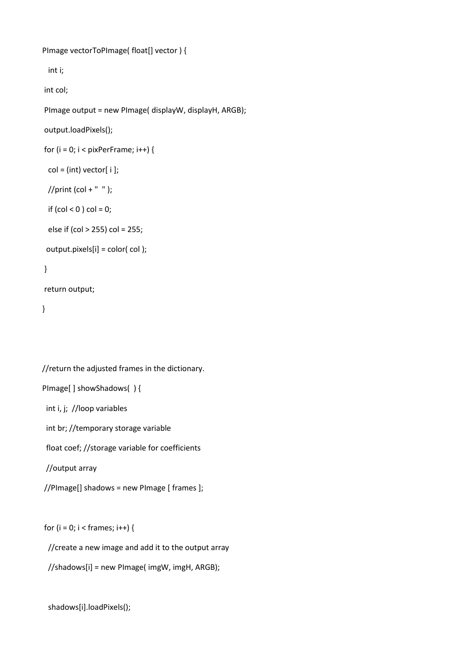```
PImage vectorToPImage( float[] vector ) {
  int i; 
int col; 
PImage output = new PImage( displayW, displayH, ARGB); 
output.loadPixels(); 
for (i = 0; i < pixPerFrame; i++) {
 col = (int) vector[i];
```

```
//print (col + " ");
```

```
if (col < 0) col = 0;
```

```
 else if (col > 255) col = 255;
```

```
 output.pixels[i] = color( col );
```
### }

```
return output;
```

```
}
```

```
//return the adjusted frames in the dictionary. 
PImage[ ] showShadows( ) { 
  int i, j; //loop variables 
  int br; //temporary storage variable 
  float coef; //storage variable for coefficients
  //output array
//PImage[] shadows = new PImage [ frames ]; 
for (i = 0; i < frames; i++) {
```
//create a new image and add it to the output array

```
 //shadows[i] = new PImage( imgW, imgH, ARGB);
```

```
 shadows[i].loadPixels();
```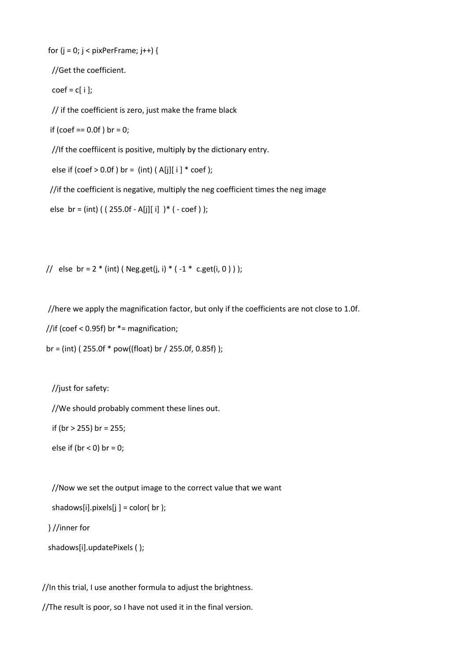```
for (j = 0; j < pixPerFrame; j++) {
```
//Get the coefficient.

 $coef = c[i];$ 

// if the coefficient is zero, just make the frame black

if (coef ==  $0.0f$ ) br =  $0$ ;

//If the coeffiicent is positive, multiply by the dictionary entry.

else if (coef  $> 0.0$ f) br = (int) (A[j][ i ]  $*$  coef);

//if the coefficient is negative, multiply the neg coefficient times the neg image

```
else br = (int) ( (255.0f - A[i][i]) * ( - coef ) );
```
// else br =  $2 * (int)$  (Neg.get(j, i)  $* (-1 * c.get(i, 0)))$ ;

//here we apply the magnification factor, but only if the coefficients are not close to 1.0f.

//if (coef < 0.95f) br \*= magnification;

br = (int) ( $255.0$ f \* pow((float) br /  $255.0$ f, 0.85f) );

//just for safety:

//We should probably comment these lines out.

if (br > 255) br = 255;

else if ( $br < 0$ ) br = 0;

//Now we set the output image to the correct value that we want

shadows[i].pixels[j] = color( br );

} //inner for

shadows[i].updatePixels ( );

//In this trial, I use another formula to adjust the brightness.

//The result is poor, so I have not used it in the final version.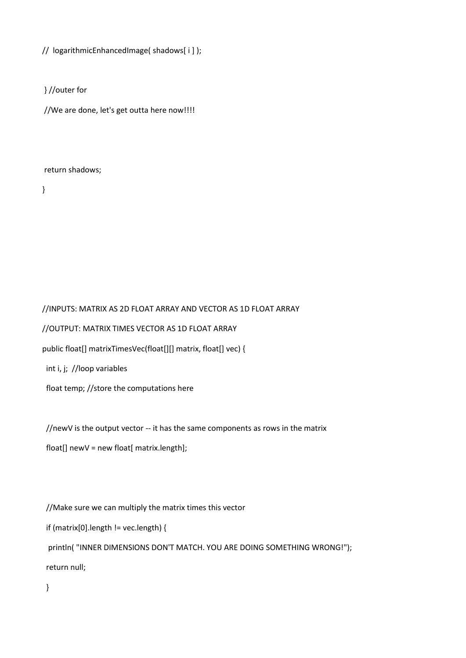// logarithmicEnhancedImage( shadows[ i ] );

} //outer for

//We are done, let's get outta here now!!!!

return shadows;

}

//INPUTS: MATRIX AS 2D FLOAT ARRAY AND VECTOR AS 1D FLOAT ARRAY //OUTPUT: MATRIX TIMES VECTOR AS 1D FLOAT ARRAY public float[] matrixTimesVec(float[][] matrix, float[] vec) { int i, j; //loop variables float temp; //store the computations here

//newV is the output vector -- it has the same components as rows in the matrix

float[] newV = new float[ matrix.length];

//Make sure we can multiply the matrix times this vector

if (matrix[0].length != vec.length) {

 println( "INNER DIMENSIONS DON'T MATCH. YOU ARE DOING SOMETHING WRONG!"); return null;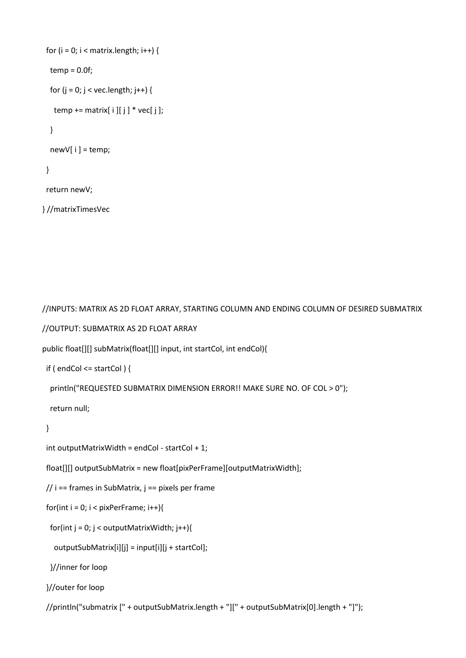```
for (i = 0; i < matrix.length; i++) {
 temp = 0.0f;
 for (j = 0; j < vec.length; j++) {
  temp += matrix[[i][j] * vec[j];
  }
  newV[ i ] = temp;
 }
 return newV;
```
} //matrixTimesVec

//INPUTS: MATRIX AS 2D FLOAT ARRAY, STARTING COLUMN AND ENDING COLUMN OF DESIRED SUBMATRIX

//OUTPUT: SUBMATRIX AS 2D FLOAT ARRAY

public float[][] subMatrix(float[][] input, int startCol, int endCol){

if ( endCol <= startCol ) {

println("REQUESTED SUBMATRIX DIMENSION ERROR!! MAKE SURE NO. OF COL > 0");

return null;

```
 }
```

```
 int outputMatrixWidth = endCol - startCol + 1;
```
float[][] outputSubMatrix = new float[pixPerFrame][outputMatrixWidth];

 $// i == frames in SubMatrix, j == pixels per frame$ 

```
for(int i = 0; i < pixPerFrame; i++){
```
for(int j = 0; j < outputMatrixWidth; j++){

outputSubMatrix[i][j] = input[i][j + startCol];

}//inner for loop

```
 }//outer for loop
```
//println("submatrix [" + outputSubMatrix.length + "][" + outputSubMatrix[0].length + "]");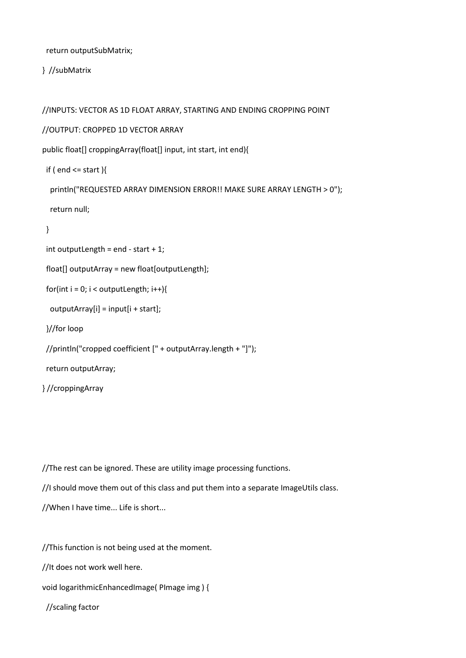return outputSubMatrix;

} //subMatrix

//INPUTS: VECTOR AS 1D FLOAT ARRAY, STARTING AND ENDING CROPPING POINT

//OUTPUT: CROPPED 1D VECTOR ARRAY

public float[] croppingArray(float[] input, int start, int end){

```
if ( end \leq start )\{
```

```
 println("REQUESTED ARRAY DIMENSION ERROR!! MAKE SURE ARRAY LENGTH > 0");
```
return null;

```
 }
```

```
int outputLength = end - start + 1;
```
float[] outputArray = new float[outputLength];

```
for(int i = 0; i < outputLength; i++){
```

```
 outputArray[i] = input[i + start];
```
}//for loop

```
 //println("cropped coefficient [" + outputArray.length + "]");
```
return outputArray;

```
} //croppingArray
```
//The rest can be ignored. These are utility image processing functions.

```
//I should move them out of this class and put them into a separate ImageUtils class.
```

```
//When I have time... Life is short...
```
//This function is not being used at the moment.

//It does not work well here.

void logarithmicEnhancedImage( PImage img ) {

//scaling factor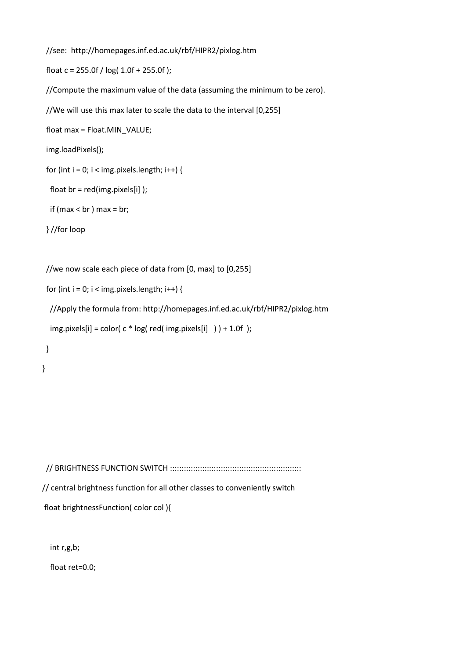```
 //see: http://homepages.inf.ed.ac.uk/rbf/HIPR2/pixlog.htm
```
float c = 255.0f / log( 1.0f + 255.0f );

//Compute the maximum value of the data (assuming the minimum to be zero).

//We will use this max later to scale the data to the interval [0,255]

```
 float max = Float.MIN_VALUE;
```

```
 img.loadPixels();
```

```
for (int i = 0; i < img.pixels.length; i++) {
```

```
float br = red(img.pixels[i] );
```

```
if (max < br ) max = br;
```

```
 } //for loop
```

```
 //we now scale each piece of data from [0, max] to [0,255]
```

```
for (int i = 0; i < img.pixels.length; i++) {
```

```
 //Apply the formula from: http://homepages.inf.ed.ac.uk/rbf/HIPR2/pixlog.htm
```

```
img.pixels[i] = color(c * log (red (img.pixels[i] ) ) + 1.0f );
```

```
 }
```

```
}
```
 // BRIGHTNESS FUNCTION SWITCH ::::::::::::::::::::::::::::::::::::::::::::::::::::::::: // central brightness function for all other classes to conveniently switch float brightnessFunction( color col ){

int r,g,b;

float ret=0.0;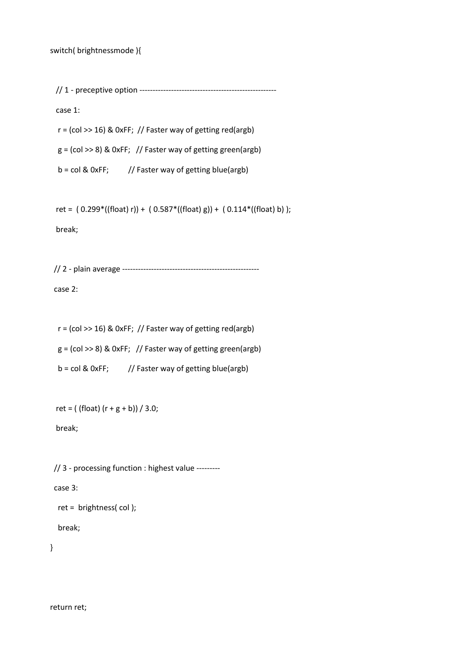// 1 - preceptive option ----------------------------------------------------

case 1:

 $r = (col \gg 16)$  & OxFF; // Faster way of getting red(argb)  $g = (col \gg 8)$  & 0xFF; // Faster way of getting green(argb)

 $b = col & O(xFF;$  // Faster way of getting blue(argb)

ret =  $(0.299*(\text{float}) r) + (0.587*((\text{float}) g)) + (0.114*((\text{float}) b));$ 

break;

// 2 - plain average ----------------------------------------------------

case 2:

 $r = (col \gg 16)$  & 0xFF; // Faster way of getting red(argb)  $g = (col \gg 8)$  & OxFF; // Faster way of getting green(argb)  $b = col & 0xFF;$  // Faster way of getting blue(argb)

 $ret = ( (float) (r + g + b) ) / 3.0;$ 

break;

// 3 - processing function : highest value ---------

case 3:

ret = brightness( col );

break;